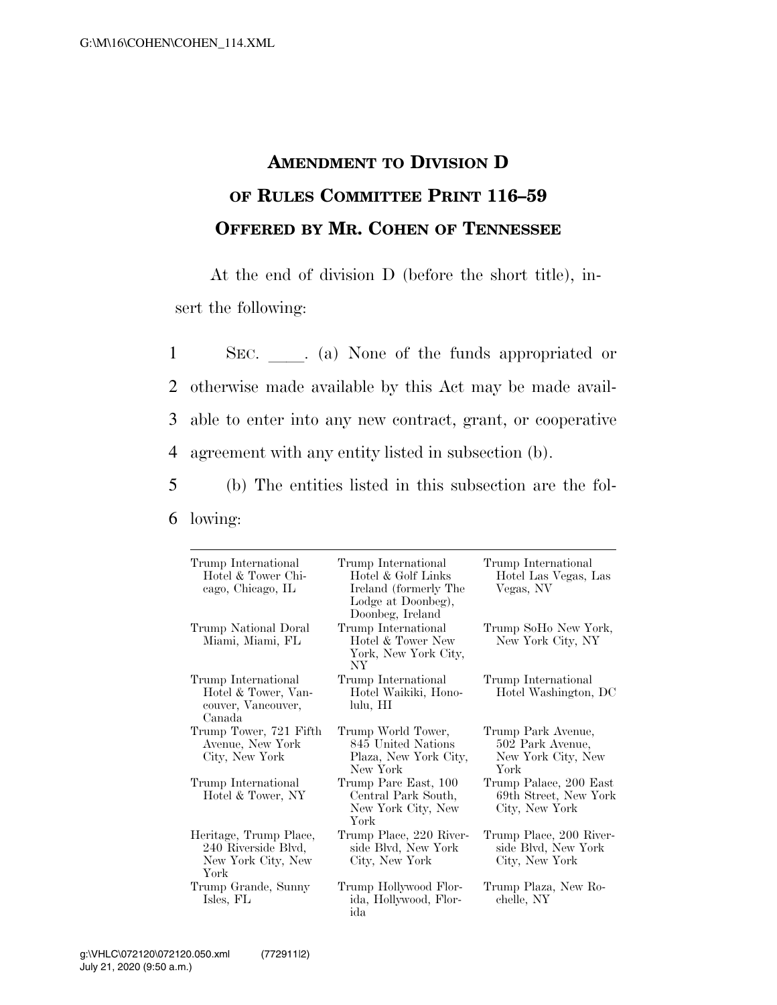## **AMENDMENT TO DIVISION D OF RULES COMMITTEE PRINT 116–59 OFFERED BY MR. COHEN OF TENNESSEE**

At the end of division D (before the short title), insert the following:

1 SEC. a) None of the funds appropriated or otherwise made available by this Act may be made avail- able to enter into any new contract, grant, or cooperative agreement with any entity listed in subsection (b).

5 (b) The entities listed in this subsection are the fol-6 lowing:

| Trump International<br>Hotel & Tower Chi-<br>cago, Chicago, IL              | Trump International<br>Hotel & Golf Links<br>Ireland (formerly The<br>Lodge at Doonbeg),<br>Doonbeg, Ireland | Trump International<br>Hotel Las Vegas, Las<br>Vegas, NV             |
|-----------------------------------------------------------------------------|--------------------------------------------------------------------------------------------------------------|----------------------------------------------------------------------|
| Trump National Doral<br>Miami, Miami, FL                                    | Trump International<br>Hotel & Tower New<br>York, New York City,<br>NY <sub></sub>                           | Trump SoHo New York,<br>New York City, NY                            |
| Trump International<br>Hotel & Tower, Van-<br>couver, Vancouver,<br>Canada  | Trump International<br>Hotel Waikiki, Hono-<br>lulu, HI                                                      | Trump International<br>Hotel Washington, DC                          |
| Trump Tower, 721 Fifth<br>Avenue, New York<br>City, New York                | Trump World Tower,<br>845 United Nations<br>Plaza, New York City,<br>New York                                | Trump Park Avenue,<br>502 Park Avenue,<br>New York City, New<br>York |
| Trump International<br>Hotel & Tower, NY                                    | Trump Parc East, 100<br>Central Park South,<br>New York City, New<br>York                                    | Trump Palace, 200 East<br>69th Street, New York<br>City, New York    |
| Heritage, Trump Place,<br>240 Riverside Blvd,<br>New York City, New<br>York | Trump Place, 220 River-<br>side Blvd, New York<br>City, New York                                             | Trump Place, 200 River-<br>side Blvd, New York<br>City, New York     |
| Trump Grande, Sunny<br>Isles, FL                                            | Trump Hollywood Flor-<br>ida, Hollywood, Flor-<br>ida                                                        | Trump Plaza, New Ro-<br>chelle, NY                                   |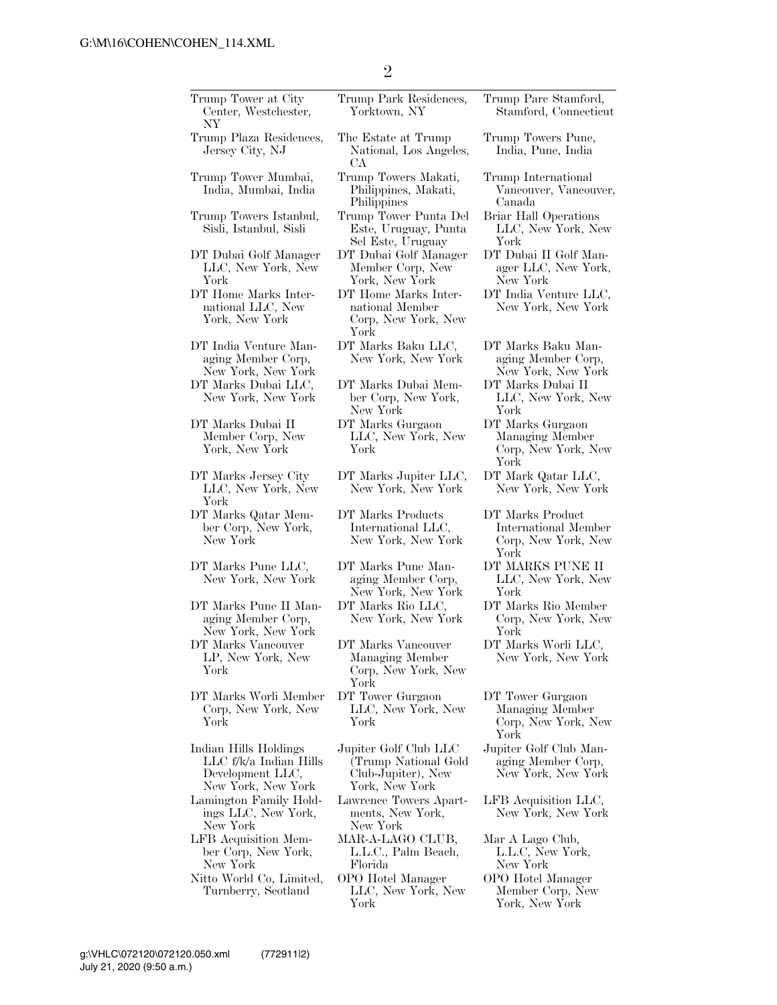| Trump Tower at City<br>Center, Westchester,<br>NΥ                                         | Trump Park Residences,<br>Yorktown, NY                                                | Trump Pare Stamford,<br>Stamford, Connecticut                           |
|-------------------------------------------------------------------------------------------|---------------------------------------------------------------------------------------|-------------------------------------------------------------------------|
| Trump Plaza Residences,<br>Jersey City, NJ                                                | The Estate at Trump<br>National, Los Angeles,<br>CА                                   | Trump Towers Pune,<br>India, Pune, India                                |
| Trump Tower Mumbai,<br>India, Mumbai, India                                               | Trump Towers Makati,<br>Philippines, Makati,<br>Philippines                           | Trump International<br>Vancouver, Vancouver,<br>Canada                  |
| Trump Towers Istanbul,<br>Sisli, Istanbul, Sisli                                          | Trump Tower Punta Del<br>Este, Uruguay, Punta<br>Sel Este, Uruguay                    | Briar Hall Operations<br>LLC, New York, New<br>York                     |
| DT Dubai Golf Manager<br>LLC, New York, New<br>York                                       | DT Dubai Golf Manager<br>Member Corp, New<br>York, New York                           | DT Dubai II Golf Man-<br>ager LLC, New York,<br>New York                |
| DT Home Marks Inter-<br>national LLC, New<br>York, New York                               | DT Home Marks Inter-<br>national Member<br>Corp, New York, New<br>York                | DT India Venture LLC,<br>New York, New York                             |
| DT India Venture Man-<br>aging Member Corp,<br>New York, New York                         | DT Marks Baku LLC,<br>New York, New York                                              | DT Marks Baku Man-<br>aging Member Corp,<br>New York, New York          |
| DT Marks Dubai LLC,<br>New York, New York                                                 | DT Marks Dubai Mem-<br>ber Corp, New York,<br>New York                                | DT Marks Dubai II<br>LLC, New York, New<br>York                         |
| DT Marks Dubai II<br>Member Corp, New<br>York, New York                                   | DT Marks Gurgaon<br>LLC, New York, New<br>York                                        | DT Marks Gurgaon<br>Managing Member<br>Corp, New York, New<br>York      |
| DT Marks Jersey City<br>LLC, New York, New<br>York                                        | DT Marks Jupiter LLC,<br>New York, New York                                           | DT Mark Qatar LLC,<br>New York, New York                                |
| DT Marks Qatar Mem-<br>ber Corp, New York,<br>New York                                    | DT Marks Products<br>International LLC,<br>New York, New York                         | DT Marks Product<br>International Member<br>Corp, New York, New<br>York |
| DT Marks Pune LLC,<br>New York, New York                                                  | DT Marks Pune Man-<br>aging Member Corp,<br>New York, New York                        | DT MARKS PUNE II<br>LLC, New York, New<br>York                          |
| DT Marks Pune II Man-<br>aging Member Corp,<br>New York, New York                         | DT Marks Rio LLC,<br>New York, New York                                               | DT Marks Rio Member<br>Corp, New York, New<br>York                      |
| DT Marks Vancouver<br>LP, New York, New<br>York                                           | DT Marks Vancouver<br>Managing Member<br>Corp, New York, New<br>York                  | DT Marks Worli LLC,<br>New York, New York                               |
| DT Marks Worli Member<br>Corp, New York, New<br>York                                      | DT Tower Gurgaon<br>LLC, New York, New<br>York                                        | DT Tower Gurgaon<br>Managing Member<br>Corp, New York, New<br>York      |
| Indian Hills Holdings<br>LLC f/k/a Indian Hills<br>Development LLC,<br>New York, New York | Jupiter Golf Club LLC<br>(Trump National Gold<br>Club-Jupiter), New<br>York, New York | Jupiter Golf Club Man-<br>aging Member Corp,<br>New York, New York      |
| Lamington Family Hold-<br>ings LLC, New York,<br>New York                                 | Lawrence Towers Apart-<br>ments, New York,<br>New York                                | LFB Acquisition LLC,<br>New York, New York                              |
|                                                                                           | MAR-A-LAGO CLUB,                                                                      | Mar A Lago Club,                                                        |
| LFB Acquisition Mem-<br>ber Corp, New York,<br>New York<br>Nitto World Co, Limited,       | L.L.C., Palm Beach,<br>Florida<br>OPO Hotel Manager                                   | L.L.C, New York,<br>New York<br>OPO Hotel Manager                       |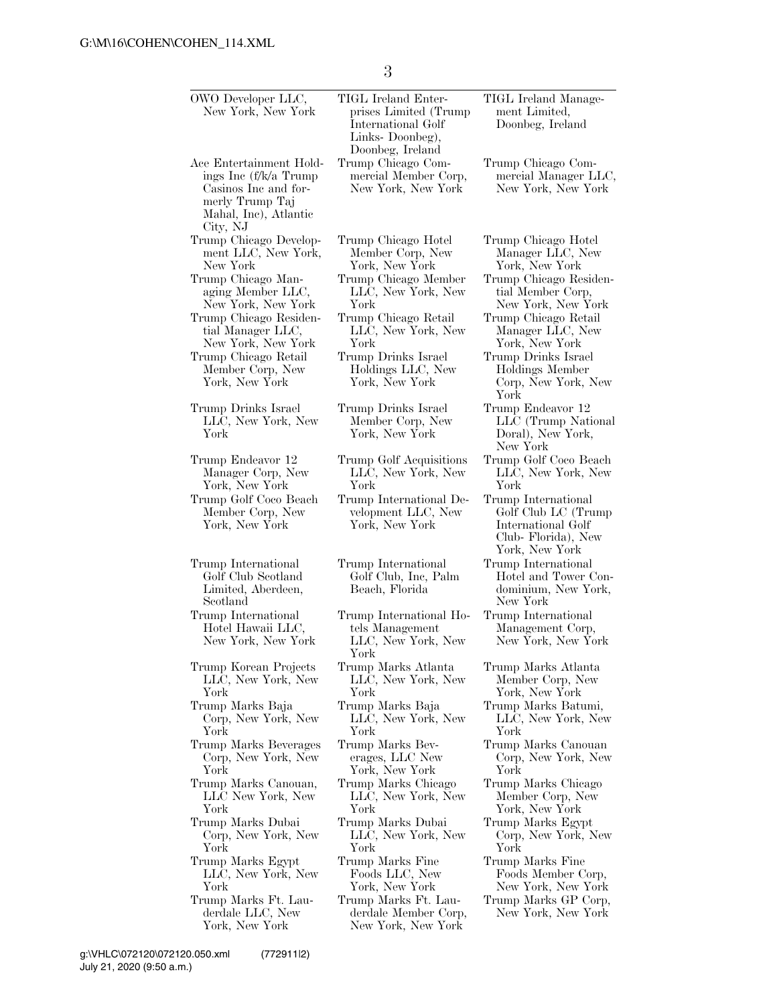3

| OWO Developer LLC,<br>New York, New York                                                                                         | TIGL Ireland Enter-<br>prises Limited (Trump<br>International Golf<br>Links-Doonbeg),<br>Doonbeg, Ireland | TIGL Ireland Manage-<br>ment Limited,<br>Doonbeg, Ireland                                                |
|----------------------------------------------------------------------------------------------------------------------------------|-----------------------------------------------------------------------------------------------------------|----------------------------------------------------------------------------------------------------------|
| Ace Entertainment Hold-<br>ings Inc (f/k/a Trump<br>Casinos Inc and for-<br>merly Trump Taj<br>Mahal, Inc), Atlantic<br>City, NJ | Trump Chicago Com-<br>mercial Member Corp,<br>New York, New York                                          | Trump Chicago Com-<br>mercial Manager LLC,<br>New York, New York                                         |
| Trump Chicago Develop-                                                                                                           | Trump Chicago Hotel                                                                                       | Trump Chicago Hotel                                                                                      |
| ment LLC, New York,                                                                                                              | Member Corp, New                                                                                          | Manager LLC, New                                                                                         |
| New York                                                                                                                         | York, New York                                                                                            | York, New York                                                                                           |
| Trump Chicago Man-                                                                                                               | Trump Chicago Member                                                                                      | Trump Chicago Residen-                                                                                   |
| aging Member LLC,                                                                                                                | LLC, New York, New                                                                                        | tial Member Corp,                                                                                        |
| New York, New York                                                                                                               | York                                                                                                      | New York, New York                                                                                       |
| Trump Chicago Residen-                                                                                                           | Trump Chicago Retail                                                                                      | Trump Chicago Retail                                                                                     |
| tial Manager LLC,                                                                                                                | LLC, New York, New                                                                                        | Manager LLC, New                                                                                         |
| New York, New York                                                                                                               | York                                                                                                      | York, New York                                                                                           |
| Trump Chicago Retail<br>Member Corp, New<br>York, New York                                                                       | Trump Drinks Israel<br>Holdings LLC, New<br>York, New York                                                | Trump Drinks Israel<br>Holdings Member<br>Corp, New York, New<br>York                                    |
| Trump Drinks Israel<br>LLC, New York, New<br>York                                                                                | Trump Drinks Israel<br>Member Corp, New<br>York, New York                                                 | Trump Endeavor 12<br>LLC (Trump National<br>Doral), New York,<br>New York                                |
| Trump Endeavor 12                                                                                                                | Trump Golf Acquisitions                                                                                   | Trump Golf Coco Beach                                                                                    |
| Manager Corp, New                                                                                                                | LLC, New York, New                                                                                        | LLC, New York, New                                                                                       |
| York, New York                                                                                                                   | York                                                                                                      | York                                                                                                     |
| Trump Golf Coco Beach<br>Member Corp, New<br>York, New York                                                                      | Trump International De-<br>velopment LLC, New<br>York, New York                                           | Trump International<br>Golf Club LC (Trump<br>International Golf<br>Club-Florida), New<br>York, New York |
| Trump International<br>Golf Club Scotland<br>Limited, Aberdeen,<br>Scotland                                                      | Trump International<br>Golf Club, Inc, Palm<br>Beach, Florida                                             | Trump International<br>Hotel and Tower Con-<br>dominium, New York,<br>New York                           |
| Trump International<br>Hotel Hawaii LLC,<br>New York, New York                                                                   | Trump International Ho-<br>tels Management<br>LLC, New York, New<br>York                                  | Trump International<br>Management Corp,<br>New York, New York                                            |
| Trump Korean Projects                                                                                                            | Trump Marks Atlanta                                                                                       | Trump Marks Atlanta                                                                                      |
| LLC, New York, New                                                                                                               | LLC, New York, New                                                                                        | Member Corp, New                                                                                         |
| York                                                                                                                             | York                                                                                                      | York, New York                                                                                           |
| Trump Marks Baja                                                                                                                 | Trump Marks Baja                                                                                          | Trump Marks Batumi,                                                                                      |
| Corp, New York, New                                                                                                              | LLC, New York, New                                                                                        | LLC, New York, New                                                                                       |
| York                                                                                                                             | York                                                                                                      | York                                                                                                     |
| Trump Marks Beverages                                                                                                            | Trump Marks Bev-                                                                                          | Trump Marks Canouan                                                                                      |
| Corp, New York, New                                                                                                              | erages, LLC New                                                                                           | Corp, New York, New                                                                                      |
| York                                                                                                                             | York, New York                                                                                            | York                                                                                                     |
| Trump Marks Canouan,                                                                                                             | Trump Marks Chicago                                                                                       | Trump Marks Chicago                                                                                      |
| LLC New York, New                                                                                                                | LLC, New York, New                                                                                        | Member Corp, New                                                                                         |
| York                                                                                                                             | York                                                                                                      | York, New York                                                                                           |
| Trump Marks Dubai                                                                                                                | Trump Marks Dubai                                                                                         | Trump Marks Egypt                                                                                        |
| Corp, New York, New                                                                                                              | LLC, New York, New                                                                                        | Corp, New York, New                                                                                      |
| York                                                                                                                             | York                                                                                                      | York                                                                                                     |
| Trump Marks Egypt                                                                                                                | Trump Marks Fine                                                                                          | Trump Marks Fine                                                                                         |
| LLC, New York, New                                                                                                               | Foods LLC, New                                                                                            | Foods Member Corp,                                                                                       |
| York                                                                                                                             | York, New York                                                                                            | New York, New York                                                                                       |
| Trump Marks Ft. Lau-<br>derdale LLC, New<br>York, New York                                                                       | Trump Marks Ft. Lau-<br>derdale Member Corp,<br>New York, New York                                        | Trump Marks GP Corp,<br>New York, New York                                                               |

July 21, 2020 (9:50 a.m.) g:\VHLC\072120\072120.050.xml (772911|2)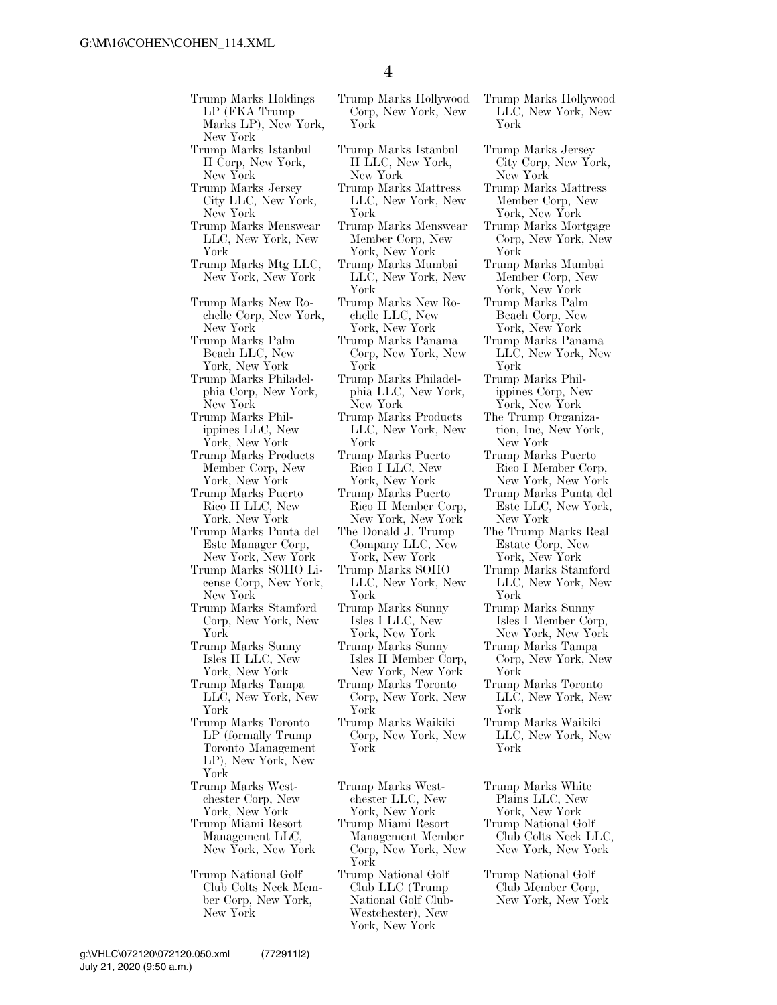| Trump Marks Holdings<br>LP (FKA Trump<br>Marks LP), New York,<br>New York                              | Trump Marks Hollywood<br>Corp, New York, New<br>York                                                          | Trum<br>Ш<br>Yor           |
|--------------------------------------------------------------------------------------------------------|---------------------------------------------------------------------------------------------------------------|----------------------------|
| Trump Marks Istanbul                                                                                   | Trump Marks Istanbul                                                                                          | Trum                       |
| II Corp, New York,                                                                                     | II LLC, New York,                                                                                             | Cit:                       |
| New York                                                                                               | New York                                                                                                      | Ney                        |
| Trump Marks Jersey                                                                                     | Trump Marks Mattress                                                                                          | Trum                       |
| City LLC, New York,                                                                                    | LLC, New York, New                                                                                            | Me                         |
| New York                                                                                               | York                                                                                                          | Yor                        |
| Trump Marks Menswear                                                                                   | Trump Marks Menswear                                                                                          | Trum                       |
| LLC, New York, New                                                                                     | Member Corp, New                                                                                              | $_{\rm Cor}$               |
| York                                                                                                   | York, New York                                                                                                | Yor                        |
| Trump Marks Mtg LLC,<br>New York, New York                                                             | Trump Marks Mumbai<br>LLC, New York, New<br>York                                                              | Trum<br>Mei<br>Υor<br>Trum |
| Trump Marks New Ro-<br>chelle Corp, New York,<br>New York<br>Trump Marks Palm                          | Trump Marks New Ro-<br>chelle LLC, New<br>York, New York<br>Trump Marks Panama                                | Bea<br>Yor<br>Trum         |
| Beach LLC, New                                                                                         | Corp, New York, New                                                                                           | $\rm LL$                   |
| York, New York                                                                                         | York                                                                                                          | Yor                        |
| Trump Marks Philadel-                                                                                  | Trump Marks Philadel-                                                                                         | Trum                       |
| phia Corp, New York,                                                                                   | phia LLC, New York,                                                                                           | ipp:                       |
| New York                                                                                               | New York                                                                                                      | Yor                        |
| Trump Marks Phil-                                                                                      | Trump Marks Products                                                                                          | The T                      |
| ippines LLC, New                                                                                       | LLC, New York, New                                                                                            | tion                       |
| York, New York                                                                                         | York                                                                                                          | Ney                        |
| Trump Marks Products                                                                                   | Trump Marks Puerto                                                                                            | Trum                       |
| Member Corp, New                                                                                       | Rico I LLC, New                                                                                               | Ric                        |
| York, New York                                                                                         | York, New York                                                                                                | Ney                        |
| Trump Marks Puerto                                                                                     | Trump Marks Puerto                                                                                            | Trum                       |
| Rico II LLC, New                                                                                       | Rico II Member Corp,                                                                                          | Est                        |
| York, New York                                                                                         | New York, New York                                                                                            | Ney                        |
| Trump Marks Punta del                                                                                  | The Donald J. Trump                                                                                           | The T                      |
| Este Manager Corp,                                                                                     | Company LLC, New                                                                                              | Est                        |
| New York, New York                                                                                     | York, New York                                                                                                | Υor                        |
| Trump Marks SOHO Li-                                                                                   | Trump Marks SOHO                                                                                              | Trum                       |
| cense Corp, New York,                                                                                  | LLC, New York, New                                                                                            | LL                         |
| New York                                                                                               | York                                                                                                          | Υor                        |
| Trump Marks Stamford                                                                                   | Trump Marks Sunny                                                                                             | Trum                       |
| Corp, New York, New                                                                                    | Isles I LLC, New                                                                                              | Isle                       |
| York                                                                                                   | York, New York                                                                                                | Ney                        |
| Trump Marks Sunny                                                                                      | Trump Marks Sunny                                                                                             | Trum                       |
| Isles II LLC, New                                                                                      | Isles II Member Corp,                                                                                         | $\rm Cor$                  |
| York, New York                                                                                         | New York, New York                                                                                            | Yor                        |
| Trump Marks Tampa                                                                                      | Trump Marks Toronto                                                                                           | Trum                       |
| LLC, New York, New                                                                                     | Corp, New York, New                                                                                           | LL                         |
| York<br>Trump Marks Toronto<br>LP (formally Trump)<br>Toronto Management<br>LP), New York, New<br>York | York<br>Trump Marks Waikiki<br>Corp, New York, New<br>York                                                    | Yor<br>Trum<br>Ш<br>Yor    |
| Trump Marks West-                                                                                      | Trump Marks West-                                                                                             | Trum                       |
| chester Corp, New                                                                                      | chester LLC, New                                                                                              | Pla                        |
| York, New York                                                                                         | York, New York                                                                                                | Yor                        |
| Trump Miami Resort                                                                                     | Trump Miami Resort                                                                                            | Trum                       |
| Management LLC,                                                                                        | Management Member                                                                                             | Clu                        |
| New York, New York                                                                                     | Corp, New York, New                                                                                           | Nev                        |
| Trump National Golf<br>Club Colts Neck Mem-<br>ber Corp, New York,<br>New York                         | York<br>Trump National Golf<br>Club LLC (Trump)<br>National Golf Club-<br>Westchester), New<br>York, New York | Trum<br>Clu<br>Nev         |

y Corp, New York, w York p Marks Mattress mber Corp, New rk, New York 1p Marks Mortgage rp, New York, New  $\cdot \hat{\textbf{k}}$ np Marks Mumbai mber Corp, New rk, New York np Marks Palm ach Corp, New rk, New York np Marks Panama  $\tilde{C}$ , New York, New rk p Marks Philines Corp, New rk, New York Trump Organizan, Inc, New York, w York p Marks Puerto Rico I Member Corp, New York, New York p Marks Punta del te LLC, New York, w York Frump Marks Real tate Corp, New York, New York p Marks Stamford  $\hat{C}$ , New York, New rk p Marks Sunny es I Member Corp, New York, New York p Marks Tampa Corp, New York, New York p Marks Toronto  $\bar{C}$ , New York, New rk p Marks Waikiki  $\bar{C}$ , New York, New rk p Marks White  $\overline{\text{u}}$ ins LLC, New rk, New York p National Golf  $\tilde{\text{ub}}$  Colts Neck LLC, New York, New York

p National Golf ub Member Corp, New York, New York

p Marks Hollywood  $\tilde{C}$ , New York, New rk

- p Marks Jersey
- 
- 
- 

- 
- 
- 
- 
- 
- 
- 
- 
- 
- 

July 21, 2020 (9:50 a.m.) g:\VHLC\072120\072120.050.xml (772911|2)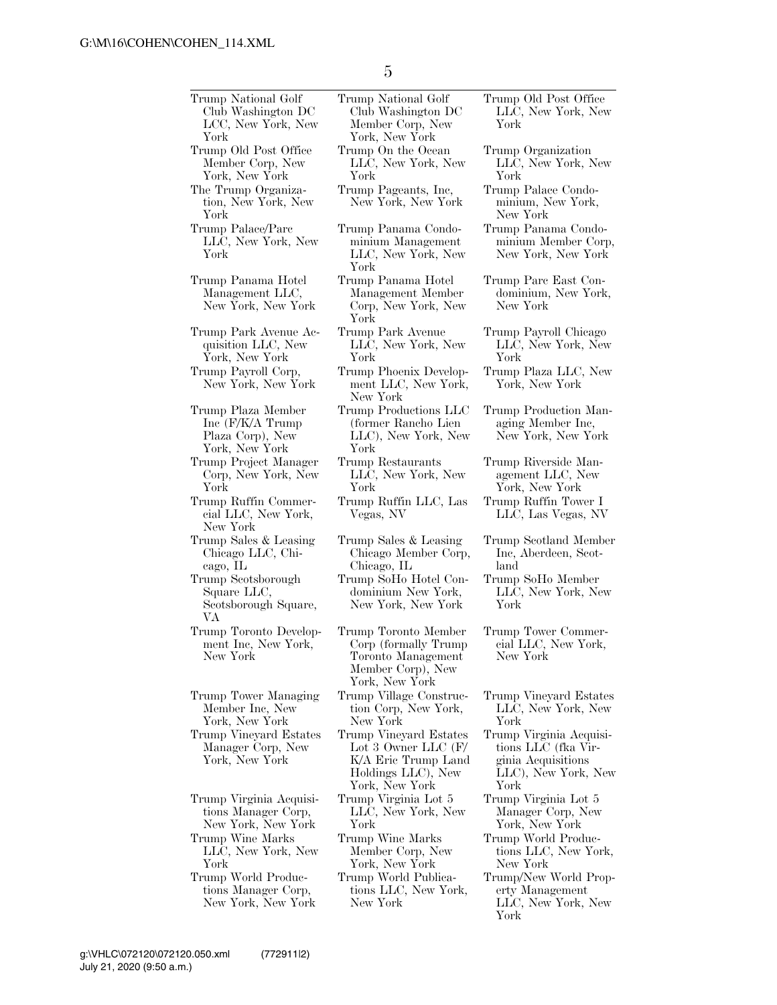Trump National Golf Club Washington DC LCC, New York, New York Trump National Golf Club Washington DC Member Corp, New York, New York Trump Old Post Office Member Corp, New York, New York Trump On the Ocean LLC, New York, New York The Trump Organization, New York, New York Trump Pageants, Inc, New York, New York Trump Palace/Parc LLC, New York, New York Trump Panama Condominium Management LLC, New York, New York Trump Panama Hotel Management LLC, New York, New York Trump Panama Hotel Management Member Corp, New York, New York Trump Park Avenue Acquisition LLC, New York, New York Trump Park Avenue LLC, New York, New York Trump Payroll Corp, New York, New York Trump Phoenix Development LLC, New York, New York Trump Plaza Member Inc (F/K/A Trump Plaza Corp), New York, New York Trump Productions LLC (former Rancho Lien LLC), New York, New York Trump Project Manager Corp, New York, New York Trump Restaurants LLC, New York, New York Trump Ruffin Commercial LLC, New York, New York Trump Ruffin LLC, Las Vegas, NV Trump Sales & Leasing Chicago LLC, Chicago, IL Trump Sales & Leasing Chicago Member Corp, Chicago, IL Trump Scotsborough Square LLC, Scotsborough Square, VA Trump SoHo Hotel Condominium New York, New York, New York Trump Toronto Development Inc, New York, New York Trump Toronto Member Corp (formally Trump Toronto Management Member Corp), New York, New York Trump Tower Managing Member Inc, New York, New York Trump Village Construction Corp, New York, New York Trump Vineyard Estates Manager Corp, New York, New York Trump Vineyard Estates Lot 3 Owner LLC (F/ K/A Eric Trump Land Holdings LLC), New York, New York Trump Virginia Acquisitions Manager Corp, New York, New York Trump Virginia Lot 5 LLC, New York, New York Trump Wine Marks LLC, New York, New York Trump Wine Marks Member Corp, New York, New York Trump World Productions Manager Corp, New York, New York Trump World Publications LLC, New York, New York

Trump Old Post Office LLC, New York, New York

Trump Organization LLC, New York, New York

Trump Palace Condominium, New York, New York

Trump Panama Condominium Member Corp, New York, New York

Trump Parc East Condominium, New York, New York

Trump Payroll Chicago LLC, New York, New York

Trump Plaza LLC, New York, New York

Trump Production Managing Member Inc, New York, New York

Trump Riverside Management LLC, New York, New York Trump Ruffin Tower I

LLC, Las Vegas, NV

Trump Scotland Member Inc, Aberdeen, Scotland

Trump SoHo Member LLC, New York, New York

Trump Tower Commercial LLC, New York, New York

Trump Vineyard Estates LLC, New York, New York

Trump Virginia Acquisitions LLC (fka Virginia Acquisitions LLC), New York, New York

Trump Virginia Lot 5 Manager Corp, New York, New York

Trump World Productions LLC, New York, New York

Trump/New World Property Management LLC, New York, New York

## July 21, 2020 (9:50 a.m.) g:\VHLC\072120\072120.050.xml (772911|2)

5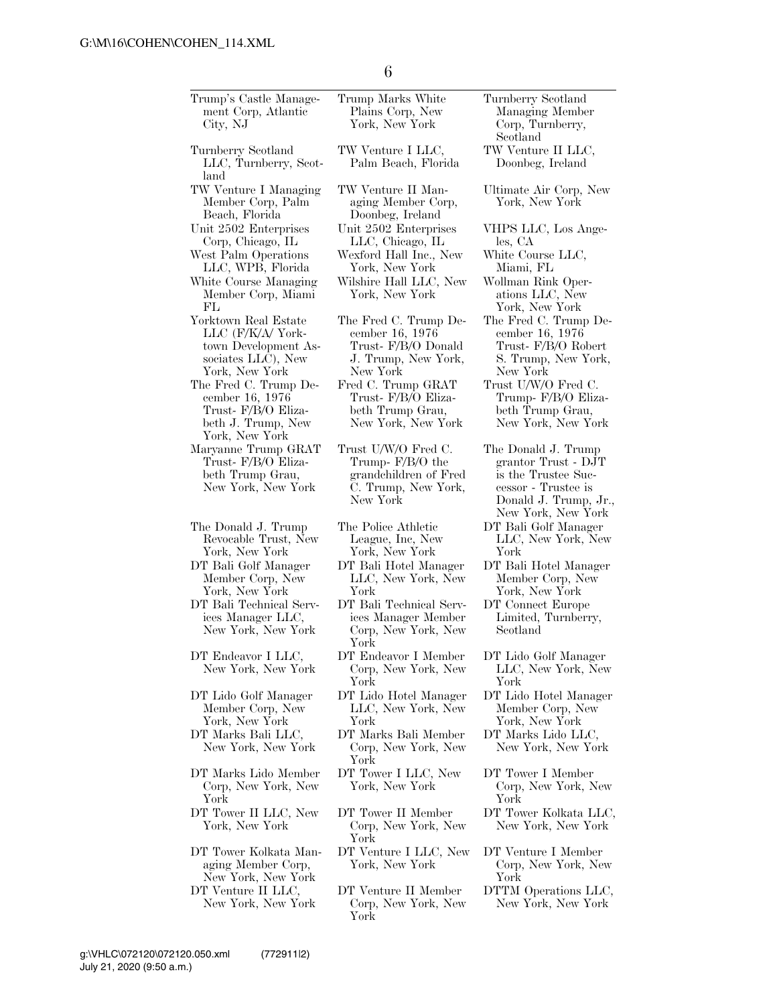| Trump's Castle Manage-<br>ment Corp, Atlantic<br>City, NJ                                                 | Trump Marks White<br>Plains Corp, New<br>York, New York                                               | Turnberry Scotland<br>Managing Member<br>Corp, Turnberry,                                                                               |
|-----------------------------------------------------------------------------------------------------------|-------------------------------------------------------------------------------------------------------|-----------------------------------------------------------------------------------------------------------------------------------------|
| Turnberry Scotland<br>LLC, Turnberry, Scot-<br>land                                                       | TW Venture I LLC,<br>Palm Beach, Florida                                                              | Scotland<br>TW Venture II LLC,<br>Doonbeg, Ireland                                                                                      |
| TW Venture I Managing<br>Member Corp, Palm<br>Beach, Florida                                              | TW Venture II Man-<br>aging Member Corp,<br>Doonbeg, Ireland                                          | Ultimate Air Corp, New<br>York, New York                                                                                                |
| Unit 2502 Enterprises<br>Corp, Chicago, IL                                                                | Unit 2502 Enterprises<br>LLC, Chicago, IL                                                             | VHPS LLC, Los Ange-<br>les, CA                                                                                                          |
| West Palm Operations<br>LLC, WPB, Florida                                                                 | Wexford Hall Inc., New<br>York, New York                                                              | White Course LLC,<br>Miami, FL                                                                                                          |
| White Course Managing<br>Member Corp, Miami<br>FL                                                         | Wilshire Hall LLC, New<br>York, New York                                                              | Wollman Rink Oper-<br>ations LLC, New<br>York, New York                                                                                 |
| Yorktown Real Estate<br>LLC (F/K/A/ York-<br>town Development As-<br>sociates LLC), New<br>York, New York | The Fred C. Trump De-<br>cember 16, 1976<br>Trust-F/B/O Donald<br>J. Trump, New York,<br>New York     | The Fred C. Trump De-<br>cember 16, 1976<br>Trust- F/B/O Robert<br>S. Trump, New York,<br>New York                                      |
| The Fred C. Trump De-<br>cember 16, 1976<br>Trust- F/B/O Eliza-<br>beth J. Trump, New<br>York, New York   | Fred C. Trump GRAT<br>Trust- F/B/O Eliza-<br>beth Trump Grau,<br>New York, New York                   | Trust U/W/O Fred C.<br>Trump- F/B/O Eliza-<br>beth Trump Grau,<br>New York, New York                                                    |
| Maryanne Trump GRAT<br>Trust-F/B/O Eliza-<br>beth Trump Grau,<br>New York, New York                       | Trust U/W/O Fred C.<br>Trump- $F/B/O$ the<br>grandchildren of Fred<br>C. Trump, New York,<br>New York | The Donald J. Trump<br>grantor Trust - DJT<br>is the Trustee Suc-<br>cessor - Trustee is<br>Donald J. Trump, Jr.,<br>New York, New York |
| The Donald J. Trump<br>Revocable Trust, New<br>York, New York                                             | The Police Athletic<br>League, Inc, New<br>York, New York                                             | DT Bali Golf Manager<br>LLC, New York, New<br>York                                                                                      |
| DT Bali Golf Manager<br>Member Corp, New<br>York, New York                                                | DT Bali Hotel Manager<br>LLC, New York, New<br>York                                                   | DT Bali Hotel Manager<br>Member Corp, New<br>York, New York                                                                             |
| DT Bali Technical Serv-<br>ices Manager LLC,<br>New York, New York                                        | DT Bali Technical Serv-<br>ices Manager Member<br>Corp, New York, New<br>York                         | DT Connect Europe<br>Limited, Turnberry,<br>Scotland                                                                                    |
| DT Endeavor I LLC,<br>New York, New York                                                                  | DT Endeavor I Member<br>Corp, New York, New<br>York                                                   | DT Lido Golf Manager<br>LLC, New York, New<br>York                                                                                      |
| DT Lido Golf Manager<br>Member Corp, New<br>York, New York                                                | DT Lido Hotel Manager<br>LLC, New York, New<br>York                                                   | DT Lido Hotel Manager<br>Member Corp, New<br>York, New York                                                                             |
| DT Marks Bali LLC,<br>New York, New York                                                                  | DT Marks Bali Member<br>Corp, New York, New<br>York                                                   | DT Marks Lido LLC,<br>New York, New York                                                                                                |
| DT Marks Lido Member<br>Corp, New York, New<br>York                                                       | DT Tower I LLC, New<br>York, New York                                                                 | DT Tower I Member<br>Corp, New York, New<br>York                                                                                        |
| DT Tower II LLC, New<br>York, New York                                                                    | DT Tower II Member<br>Corp, New York, New<br>York                                                     | DT Tower Kolkata LLC,<br>New York, New York                                                                                             |
| DT Tower Kolkata Man-<br>aging Member Corp,<br>New York, New York                                         | DT Venture I LLC, New<br>York, New York                                                               | DT Venture I Member<br>Corp, New York, New<br>York                                                                                      |
| DT Venture II LLC,<br>New York, New York                                                                  | DT Venture II Member<br>Corp, New York, New<br>York                                                   | DTTM Operations LLC,<br>New York, New York                                                                                              |

 $\overline{\phantom{a}}$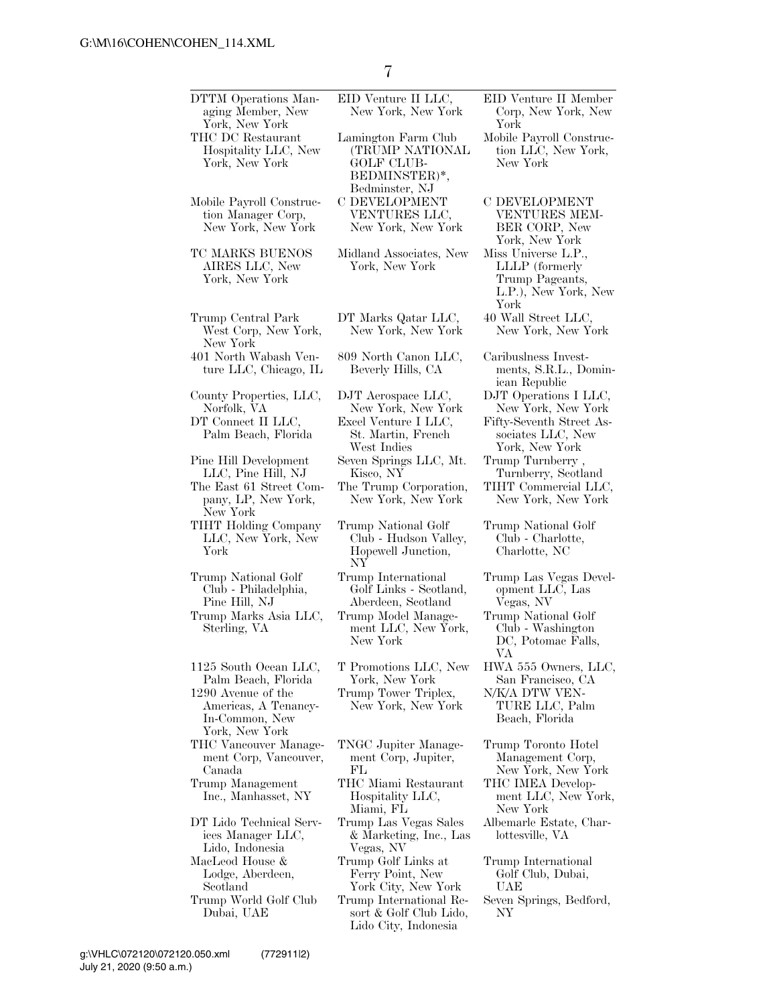| DTTM Operations Man-<br>aging Member, New<br>York, New York                                                                    | EID Venture II LLC,<br>New York, New York                                                      | EID Venture II Member<br>Corp, New York, New<br>York                                            |
|--------------------------------------------------------------------------------------------------------------------------------|------------------------------------------------------------------------------------------------|-------------------------------------------------------------------------------------------------|
| THC DC Restaurant<br>Hospitality LLC, New<br>York, New York                                                                    | Lamington Farm Club<br>(TRUMP NATIONAL<br><b>GOLF CLUB-</b><br>BEDMINSTER)*,<br>Bedminster, NJ | Mobile Payroll Construc-<br>tion LLC, New York,<br>New York                                     |
| Mobile Payroll Construc-<br>tion Manager Corp,<br>New York, New York                                                           | C DEVELOPMENT<br>VENTURES LLC,<br>New York, New York                                           | <b>C DEVELOPMENT</b><br>VENTURES MEM-<br>BER CORP, New<br>York, New York                        |
| TC MARKS BUENOS<br>AIRES LLC, New<br>York, New York                                                                            | Midland Associates, New<br>York, New York                                                      | Miss Universe L.P.,<br>LLLP (formerly<br>Trump Pageants,<br>L.P.), New York, New<br>York        |
| Trump Central Park<br>West Corp, New York,<br>New York                                                                         | DT Marks Qatar LLC,<br>New York, New York                                                      | 40 Wall Street LLC,<br>New York, New York                                                       |
| 401 North Wabash Ven-<br>ture LLC, Chicago, IL                                                                                 | 809 North Canon LLC,<br>Beverly Hills, CA                                                      | Caribuslness Invest-<br>ments, S.R.L., Domin-<br>ican Republic                                  |
| County Properties, LLC,<br>Norfolk, VA                                                                                         | DJT Aerospace LLC,<br>New York, New York                                                       | DJT Operations I LLC,<br>New York, New York                                                     |
| DT Connect II LLC,<br>Palm Beach, Florida                                                                                      | Excel Venture I LLC,<br>St. Martin, French<br>West Indies                                      | Fifty-Seventh Street As-<br>sociates LLC, New<br>York, New York                                 |
| Pine Hill Development<br>LLC, Pine Hill, NJ                                                                                    | Seven Springs LLC, Mt.<br>Kisco, NY                                                            | Trump Turnberry,<br>Turnberry, Scotland                                                         |
| The East 61 Street Com-<br>pany, LP, New York,<br>New York                                                                     | The Trump Corporation,<br>New York, New York                                                   | TIHT Commercial LLC,<br>New York, New York                                                      |
| TIHT Holding Company<br>LLC, New York, New<br>York                                                                             | Trump National Golf<br>Club - Hudson Valley,<br>Hopewell Junction,<br>NY                       | Trump National Golf<br>Club - Charlotte,<br>Charlotte, NC                                       |
| Trump National Golf<br>Club - Philadelphia,<br>Pine Hill, NJ                                                                   | Trump International<br>Golf Links - Scotland,<br>Aberdeen, Scotland                            | Trump Las Vegas Devel-<br>opment LLC, Las<br>Vegas, NV                                          |
| Trump Marks Asia LLC,<br>Sterling, VA                                                                                          | Trump Model Manage-<br>ment LLC, New York,<br>New York                                         | Trump National Golf<br>Club - Washington<br>DC, Potomac Falls,<br>VA                            |
| 1125 South Ocean LLC,<br>Palm Beach, Florida<br>1290 Avenue of the<br>Americas, A Tenancy-<br>In-Common, New<br>York, New York | T Promotions LLC, New<br>York, New York<br>Trump Tower Triplex,<br>New York, New York          | HWA 555 Owners, LLC,<br>San Francisco, CA<br>N/K/A DTW VEN-<br>TURE LLC, Palm<br>Beach, Florida |
| THC Vancouver Manage-<br>ment Corp, Vancouver,<br>Canada                                                                       | TNGC Jupiter Manage-<br>ment Corp, Jupiter,<br>FL                                              | Trump Toronto Hotel<br>Management Corp,<br>New York, New York                                   |
| Trump Management<br>Inc., Manhasset, NY                                                                                        | THC Miami Restaurant<br>Hospitality LLC,<br>Miami, FL                                          | THC IMEA Develop-<br>ment LLC, New York,<br>New York                                            |
| DT Lido Technical Serv-<br>ices Manager LLC,<br>Lido, Indonesia                                                                | Trump Las Vegas Sales<br>& Marketing, Inc., Las<br>Vegas, NV                                   | Albemarle Estate, Char-<br>lottesville, VA                                                      |
| MacLeod House &<br>Lodge, Aberdeen,<br>Scotland                                                                                | Trump Golf Links at<br>Ferry Point, New<br>York City, New York                                 | Trump International<br>Golf Club, Dubai,<br>UAE                                                 |
| Trump World Golf Club<br>Dubai, UAE                                                                                            | Trump International Re-<br>sort & Golf Club Lido,<br>Lido City, Indonesia                      | Seven Springs, Bedford,<br>NΥ                                                                   |